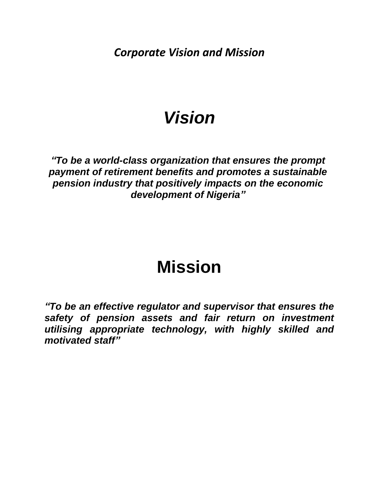<span id="page-0-0"></span>*Corporate Vision and Mission*

# *Vision*

*"To be a world-class organization that ensures the prompt payment of retirement benefits and promotes a sustainable pension industry that positively impacts on the economic development of Nigeria"*

# **Mission**

*"To be an effective regulator and supervisor that ensures the safety of pension assets and fair return on investment utilising appropriate technology, with highly skilled and motivated staff"*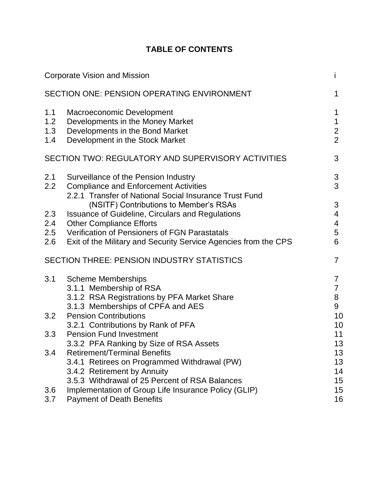# **TABLE OF CONTENTS**

|                          | <b>Corporate Vision and Mission</b>                                                                                                                                                                                                                      | i                                                    |
|--------------------------|----------------------------------------------------------------------------------------------------------------------------------------------------------------------------------------------------------------------------------------------------------|------------------------------------------------------|
|                          | SECTION ONE: PENSION OPERATING ENVIRONMENT                                                                                                                                                                                                               | 1                                                    |
| 1.1<br>1.2<br>1.3<br>1.4 | Macroeconomic Development<br>Developments in the Money Market<br>Developments in the Bond Market<br>Development in the Stock Market                                                                                                                      | 1<br>$\mathbf 1$<br>$\overline{2}$<br>$\overline{2}$ |
|                          | SECTION TWO: REGULATORY AND SUPERVISORY ACTIVITIES                                                                                                                                                                                                       | 3                                                    |
| 2.1<br>2.2               | Surveillance of the Pension Industry<br><b>Compliance and Enforcement Activities</b><br>2.2.1 Transfer of National Social Insurance Trust Fund                                                                                                           | 3<br>3                                               |
| 2.3<br>2.4<br>2.5<br>2.6 | (NSITF) Contributions to Member's RSAs<br><b>Issuance of Guideline, Circulars and Regulations</b><br><b>Other Compliance Efforts</b><br>Verification of Pensioners of FGN Parastatals<br>Exit of the Military and Security Service Agencies from the CPS | 3<br>4<br>4<br>5<br>6                                |
|                          | <b>SECTION THREE: PENSION INDUSTRY STATISTICS</b>                                                                                                                                                                                                        | $\overline{7}$                                       |
| 3.1                      | <b>Scheme Memberships</b><br>3.1.1 Membership of RSA<br>3.1.2 RSA Registrations by PFA Market Share<br>3.1.3 Memberships of CPFA and AES                                                                                                                 | $\overline{7}$<br>$\overline{7}$<br>8<br>9           |
| 3.2                      | <b>Pension Contributions</b><br>3.2.1 Contributions by Rank of PFA                                                                                                                                                                                       | 10<br>10                                             |
| 3.3                      | <b>Pension Fund Investment</b><br>3.3.2 PFA Ranking by Size of RSA Assets                                                                                                                                                                                | 11<br>13                                             |
| 3.4                      | <b>Retirement/Terminal Benefits</b><br>3.4.1 Retirees on Programmed Withdrawal (PW)<br>3.4.2 Retirement by Annuity<br>3.5.3 Withdrawal of 25 Percent of RSA Balances                                                                                     | 13<br>13<br>14<br>15                                 |
| 3.6<br>3.7               | Implementation of Group Life Insurance Policy (GLIP)<br><b>Payment of Death Benefits</b>                                                                                                                                                                 | 15<br>16                                             |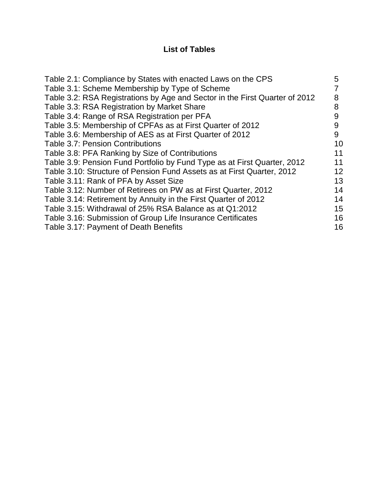# **List of Tables**

| Table 2.1: Compliance by States with enacted Laws on the CPS                | 5  |
|-----------------------------------------------------------------------------|----|
| Table 3.1: Scheme Membership by Type of Scheme                              |    |
| Table 3.2: RSA Registrations by Age and Sector in the First Quarter of 2012 | 8  |
| Table 3.3: RSA Registration by Market Share                                 | 8  |
| Table 3.4: Range of RSA Registration per PFA                                | 9  |
| Table 3.5: Membership of CPFAs as at First Quarter of 2012                  | 9  |
| Table 3.6: Membership of AES as at First Quarter of 2012                    | 9  |
| <b>Table 3.7: Pension Contributions</b>                                     | 10 |
| Table 3.8: PFA Ranking by Size of Contributions                             | 11 |
| Table 3.9: Pension Fund Portfolio by Fund Type as at First Quarter, 2012    | 11 |
| Table 3.10: Structure of Pension Fund Assets as at First Quarter, 2012      | 12 |
| Table 3.11: Rank of PFA by Asset Size                                       | 13 |
| Table 3.12: Number of Retirees on PW as at First Quarter, 2012              | 14 |
| Table 3.14: Retirement by Annuity in the First Quarter of 2012              | 14 |
| Table 3.15: Withdrawal of 25% RSA Balance as at Q1:2012                     | 15 |
| Table 3.16: Submission of Group Life Insurance Certificates                 | 16 |
| Table 3.17: Payment of Death Benefits                                       | 16 |
|                                                                             |    |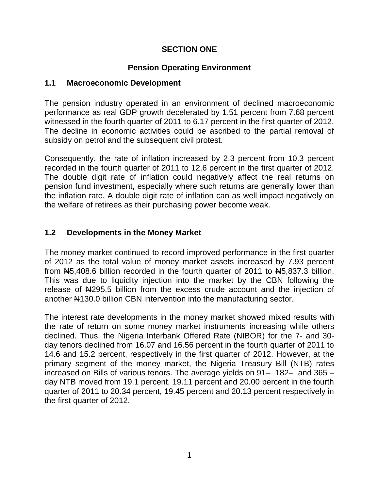## **SECTION ONE**

## **Pension Operating Environment**

#### <span id="page-3-1"></span><span id="page-3-0"></span>**1.1 Macroeconomic Development**

The pension industry operated in an environment of declined macroeconomic performance as real GDP growth decelerated by 1.51 percent from 7.68 percent witnessed in the fourth quarter of 2011 to 6.17 percent in the first quarter of 2012. The decline in economic activities could be ascribed to the partial removal of subsidy on petrol and the subsequent civil protest.

Consequently, the rate of inflation increased by 2.3 percent from 10.3 percent recorded in the fourth quarter of 2011 to 12.6 percent in the first quarter of 2012. The double digit rate of inflation could negatively affect the real returns on pension fund investment, especially where such returns are generally lower than the inflation rate. A double digit rate of inflation can as well impact negatively on the welfare of retirees as their purchasing power become weak.

## <span id="page-3-2"></span>**1.2 Developments in the Money Market**

The money market continued to record improved performance in the first quarter of 2012 as the total value of money market assets increased by 7.93 percent from N5,408.6 billion recorded in the fourth quarter of 2011 to N5,837.3 billion. This was due to liquidity injection into the market by the CBN following the release of N<sub>4295.5</sub> billion from the excess crude account and the injection of another N130.0 billion CBN intervention into the manufacturing sector.

The interest rate developments in the money market showed mixed results with the rate of return on some money market instruments increasing while others declined. Thus, the Nigeria Interbank Offered Rate (NIBOR) for the 7- and 30 day tenors declined from 16.07 and 16.56 percent in the fourth quarter of 2011 to 14.6 and 15.2 percent, respectively in the first quarter of 2012. However, at the primary segment of the money market, the Nigeria Treasury Bill (NTB) rates increased on Bills of various tenors. The average yields on 91– 182– and 365 – day NTB moved from 19.1 percent, 19.11 percent and 20.00 percent in the fourth quarter of 2011 to 20.34 percent, 19.45 percent and 20.13 percent respectively in the first quarter of 2012.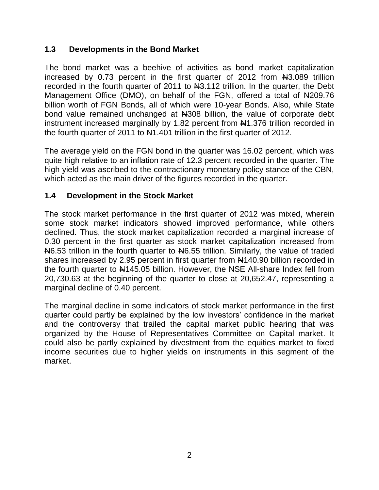## <span id="page-4-0"></span>**1.3 Developments in the Bond Market**

The bond market was a beehive of activities as bond market capitalization increased by 0.73 percent in the first quarter of 2012 from N3.089 trillion recorded in the fourth quarter of 2011 to N3.112 trillion. In the quarter, the Debt Management Office (DMO), on behalf of the FGN, offered a total of N209.76 billion worth of FGN Bonds, all of which were 10-year Bonds. Also, while State bond value remained unchanged at N308 billion, the value of corporate debt instrument increased marginally by 1.82 percent from N41.376 trillion recorded in the fourth quarter of 2011 to  $\mu$ 1.401 trillion in the first quarter of 2012.

The average yield on the FGN bond in the quarter was 16.02 percent, which was quite high relative to an inflation rate of 12.3 percent recorded in the quarter. The high yield was ascribed to the contractionary monetary policy stance of the CBN, which acted as the main driver of the figures recorded in the quarter.

#### <span id="page-4-1"></span>**1.4 Development in the Stock Market**

The stock market performance in the first quarter of 2012 was mixed, wherein some stock market indicators showed improved performance, while others declined. Thus, the stock market capitalization recorded a marginal increase of 0.30 percent in the first quarter as stock market capitalization increased from N6.53 trillion in the fourth quarter to N6.55 trillion. Similarly, the value of traded shares increased by 2.95 percent in first quarter from  $\mu$ 140.90 billion recorded in the fourth quarter to  $\frac{14145.05}{1000}$  billion. However, the NSE All-share Index fell from 20,730.63 at the beginning of the quarter to close at 20,652.47, representing a marginal decline of 0.40 percent.

The marginal decline in some indicators of stock market performance in the first quarter could partly be explained by the low investors' confidence in the market and the controversy that trailed the capital market public hearing that was organized by the House of Representatives Committee on Capital market. It could also be partly explained by divestment from the equities market to fixed income securities due to higher yields on instruments in this segment of the market.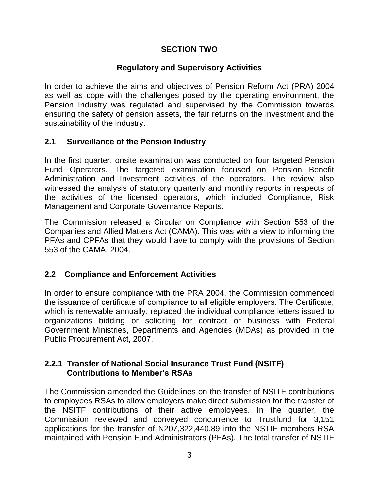#### **SECTION TWO**

# **Regulatory and Supervisory Activities**

<span id="page-5-0"></span>In order to achieve the aims and objectives of Pension Reform Act (PRA) 2004 as well as cope with the challenges posed by the operating environment, the Pension Industry was regulated and supervised by the Commission towards ensuring the safety of pension assets, the fair returns on the investment and the sustainability of the industry.

#### <span id="page-5-1"></span>**2.1 Surveillance of the Pension Industry**

In the first quarter, onsite examination was conducted on four targeted Pension Fund Operators. The targeted examination focused on Pension Benefit Administration and Investment activities of the operators. The review also witnessed the analysis of statutory quarterly and monthly reports in respects of the activities of the licensed operators, which included Compliance, Risk Management and Corporate Governance Reports.

The Commission released a Circular on Compliance with Section 553 of the Companies and Allied Matters Act (CAMA). This was with a view to informing the PFAs and CPFAs that they would have to comply with the provisions of Section 553 of the CAMA, 2004.

#### <span id="page-5-2"></span>**2.2 Compliance and Enforcement Activities**

In order to ensure compliance with the PRA 2004, the Commission commenced the issuance of certificate of compliance to all eligible employers. The Certificate, which is renewable annually, replaced the individual compliance letters issued to organizations bidding or soliciting for contract or business with Federal Government Ministries, Departments and Agencies (MDAs) as provided in the Public Procurement Act, 2007.

#### <span id="page-5-3"></span>**2.2.1 Transfer of National Social Insurance Trust Fund (NSITF) Contributions to Member's RSAs**

The Commission amended the Guidelines on the transfer of NSITF contributions to employees RSAs to allow employers make direct submission for the transfer of the NSITF contributions of their active employees. In the quarter, the Commission reviewed and conveyed concurrence to Trustfund for 3,151 applications for the transfer of N207,322,440.89 into the NSTIF members RSA maintained with Pension Fund Administrators (PFAs). The total transfer of NSTIF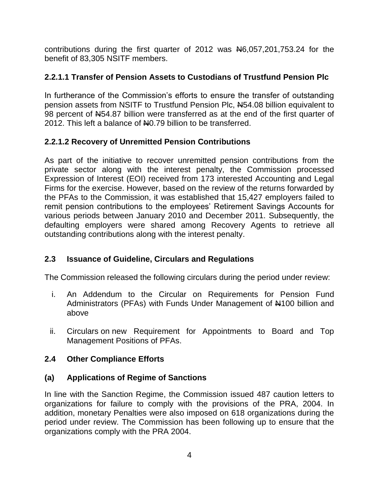contributions during the first quarter of 2012 was N6,057,201,753.24 for the benefit of 83,305 NSITF members.

# **2.2.1.1 Transfer of Pension Assets to Custodians of Trustfund Pension Plc**

In furtherance of the Commission's efforts to ensure the transfer of outstanding pension assets from NSITF to Trustfund Pension Plc, N54.08 billion equivalent to 98 percent of N54.87 billion were transferred as at the end of the first quarter of 2012. This left a balance of No.79 billion to be transferred.

# **2.2.1.2 Recovery of Unremitted Pension Contributions**

As part of the initiative to recover unremitted pension contributions from the private sector along with the interest penalty, the Commission processed Expression of Interest (EOI) received from 173 interested Accounting and Legal Firms for the exercise. However, based on the review of the returns forwarded by the PFAs to the Commission, it was established that 15,427 employers failed to remit pension contributions to the employees' Retirement Savings Accounts for various periods between January 2010 and December 2011. Subsequently, the defaulting employers were shared among Recovery Agents to retrieve all outstanding contributions along with the interest penalty.

# <span id="page-6-0"></span>**2.3 Issuance of Guideline, Circulars and Regulations**

The Commission released the following circulars during the period under review:

- i. An Addendum to the Circular on Requirements for Pension Fund Administrators (PFAs) with Funds Under Management of #100 billion and above
- ii. Circulars on new Requirement for Appointments to Board and Top Management Positions of PFAs.

# <span id="page-6-1"></span>**2.4 Other Compliance Efforts**

# **(a) Applications of Regime of Sanctions**

In line with the Sanction Regime, the Commission issued 487 caution letters to organizations for failure to comply with the provisions of the PRA, 2004. In addition, monetary Penalties were also imposed on 618 organizations during the period under review. The Commission has been following up to ensure that the organizations comply with the PRA 2004.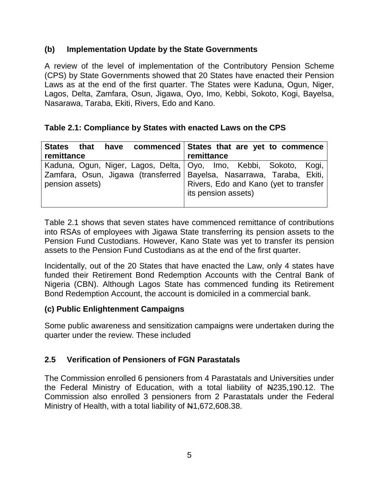#### **(b) Implementation Update by the State Governments**

A review of the level of implementation of the Contributory Pension Scheme (CPS) by State Governments showed that 20 States have enacted their Pension Laws as at the end of the first quarter. The States were Kaduna, Ogun, Niger, Lagos, Delta, Zamfara, Osun, Jigawa, Oyo, Imo, Kebbi, Sokoto, Kogi, Bayelsa, Nasarawa, Taraba, Ekiti, Rivers, Edo and Kano.

## <span id="page-7-1"></span>**Table 2.1: Compliance by States with enacted Laws on the CPS**

| remittance      |  |  | remittance          |  | States that have commenced States that are yet to commence                                                                                                                            |  |
|-----------------|--|--|---------------------|--|---------------------------------------------------------------------------------------------------------------------------------------------------------------------------------------|--|
| pension assets) |  |  | its pension assets) |  | Kaduna, Ogun, Niger, Lagos, Delta,   Oyo, Imo, Kebbi, Sokoto, Kogi,<br>Zamfara, Osun, Jigawa (transferred Bayelsa, Nasarrawa, Taraba, Ekiti,<br>Rivers, Edo and Kano (yet to transfer |  |

Table 2.1 shows that seven states have commenced remittance of contributions into RSAs of employees with Jigawa State transferring its pension assets to the Pension Fund Custodians. However, Kano State was yet to transfer its pension assets to the Pension Fund Custodians as at the end of the first quarter.

Incidentally, out of the 20 States that have enacted the Law, only 4 states have funded their Retirement Bond Redemption Accounts with the Central Bank of Nigeria (CBN). Although Lagos State has commenced funding its Retirement Bond Redemption Account, the account is domiciled in a commercial bank.

#### **(c) Public Enlightenment Campaigns**

Some public awareness and sensitization campaigns were undertaken during the quarter under the review. These included

# <span id="page-7-0"></span>**2.5 Verification of Pensioners of FGN Parastatals**

The Commission enrolled 6 pensioners from 4 Parastatals and Universities under the Federal Ministry of Education, with a total liability of  $\frac{1235,190.12}{1}$ . The Commission also enrolled 3 pensioners from 2 Parastatals under the Federal Ministry of Health, with a total liability of  $\text{H}1,672,608.38$ .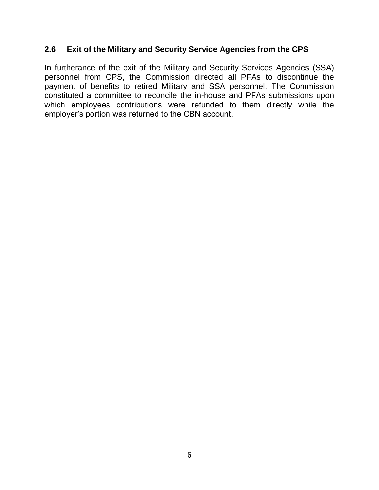#### <span id="page-8-0"></span>**2.6 Exit of the Military and Security Service Agencies from the CPS**

In furtherance of the exit of the Military and Security Services Agencies (SSA) personnel from CPS, the Commission directed all PFAs to discontinue the payment of benefits to retired Military and SSA personnel. The Commission constituted a committee to reconcile the in-house and PFAs submissions upon which employees contributions were refunded to them directly while the employer's portion was returned to the CBN account.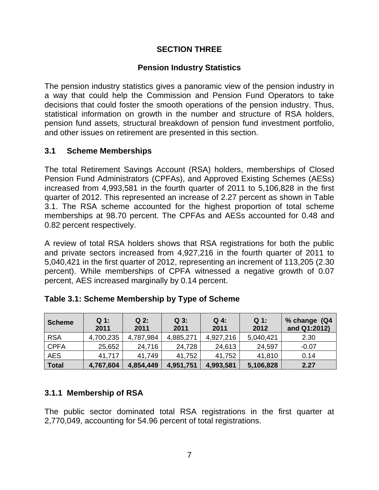## **SECTION THREE**

## **Pension Industry Statistics**

<span id="page-9-0"></span>The pension industry statistics gives a panoramic view of the pension industry in a way that could help the Commission and Pension Fund Operators to take decisions that could foster the smooth operations of the pension industry. Thus, statistical information on growth in the number and structure of RSA holders, pension fund assets, structural breakdown of pension fund investment portfolio, and other issues on retirement are presented in this section.

#### <span id="page-9-1"></span>**3.1 Scheme Memberships**

The total Retirement Savings Account (RSA) holders, memberships of Closed Pension Fund Administrators (CPFAs), and Approved Existing Schemes (AESs) increased from 4,993,581 in the fourth quarter of 2011 to 5,106,828 in the first quarter of 2012. This represented an increase of 2.27 percent as shown in Table 3.1. The RSA scheme accounted for the highest proportion of total scheme memberships at 98.70 percent. The CPFAs and AESs accounted for 0.48 and 0.82 percent respectively.

A review of total RSA holders shows that RSA registrations for both the public and private sectors increased from 4,927,216 in the fourth quarter of 2011 to 5,040,421 in the first quarter of 2012, representing an increment of 113,205 (2.30 percent). While memberships of CPFA witnessed a negative growth of 0.07 percent, AES increased marginally by 0.14 percent.

| <b>Scheme</b> | $Q_1$ :<br>2011 | $Q2$ :<br>2011 | $Q_3$ :<br>2011 | $Q_4$ :<br>2011 | $Q_1$ :<br>2012 | % change (Q4<br>and Q1:2012) |
|---------------|-----------------|----------------|-----------------|-----------------|-----------------|------------------------------|
| <b>RSA</b>    | 4,700,235       | 4,787,984      | 4,885,271       | 4,927,216       | 5,040,421       | 2.30                         |
| <b>CPFA</b>   | 25,652          | 24,716         | 24,728          | 24,613          | 24,597          | $-0.07$                      |
| <b>AES</b>    | 41,717          | 41.749         | 41,752          | 41,752          | 41,810          | 0.14                         |
| Total         | 4,767,604       | 4,854,449      | 4,951,751       | 4,993,581       | 5,106,828       | 2.27                         |

<span id="page-9-3"></span>

# <span id="page-9-2"></span>**3.1.1 Membership of RSA**

The public sector dominated total RSA registrations in the first quarter at 2,770,049, accounting for 54.96 percent of total registrations.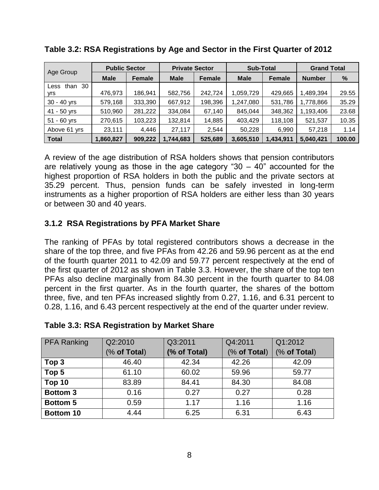| Age Group          | <b>Public Sector</b> |         | <b>Private Sector</b> |               | <b>Sub-Total</b> |               | <b>Grand Total</b> |        |
|--------------------|----------------------|---------|-----------------------|---------------|------------------|---------------|--------------------|--------|
|                    | <b>Male</b>          | Female  | <b>Male</b>           | <b>Female</b> | <b>Male</b>      | <b>Female</b> | <b>Number</b>      | %      |
| 30<br>than<br>Less |                      |         |                       |               |                  |               |                    |        |
| yrs                | 476,973              | 186,941 | 582,756               | 242,724       | 1,059,729        | 429,665       | 1,489,394          | 29.55  |
| $30 - 40$ yrs      | 579,168              | 333,390 | 667,912               | 198,396       | 1,247,080        | 531,786       | 1,778,866          | 35.29  |
| 41 - 50 yrs        | 510,960              | 281,222 | 334,084               | 67,140        | 845,044          | 348,362       | 1,193,406          | 23.68  |
| $51 - 60$ yrs      | 270,615              | 103,223 | 132,814               | 14,885        | 403,429          | 118,108       | 521,537            | 10.35  |
| Above 61 yrs       | 23,111               | 4,446   | 27,117                | 2,544         | 50,228           | 6,990         | 57,218             | 1.14   |
| <b>Total</b>       | <b>1,860,827</b>     | 909,222 | 1,744,683             | 525,689       | 3,605,510        | 1,434,911     | 5,040,421          | 100.00 |

#### <span id="page-10-1"></span>**Table 3.2: RSA Registrations by Age and Sector in the First Quarter of 2012**

A review of the age distribution of RSA holders shows that pension contributors are relatively young as those in the age category "30  $-$  40" accounted for the highest proportion of RSA holders in both the public and the private sectors at 35.29 percent. Thus, pension funds can be safely invested in long-term instruments as a higher proportion of RSA holders are either less than 30 years or between 30 and 40 years.

# <span id="page-10-0"></span>**3.1.2 RSA Registrations by PFA Market Share**

The ranking of PFAs by total registered contributors shows a decrease in the share of the top three, and five PFAs from 42.26 and 59.96 percent as at the end of the fourth quarter 2011 to 42.09 and 59.77 percent respectively at the end of the first quarter of 2012 as shown in Table 3.3. However, the share of the top ten PFAs also decline marginally from 84.30 percent in the fourth quarter to 84.08 percent in the first quarter. As in the fourth quarter, the shares of the bottom three, five, and ten PFAs increased slightly from 0.27, 1.16, and 6.31 percent to 0.28, 1.16, and 6.43 percent respectively at the end of the quarter under review.

| <b>PFA Ranking</b> | Q2:2010      | Q3:2011      | Q4:2011      | Q1:2012      |
|--------------------|--------------|--------------|--------------|--------------|
|                    | (% of Total) | (% of Total) | (% of Total) | (% of Total) |
| Top <sub>3</sub>   | 46.40        | 42.34        | 42.26        | 42.09        |
| Top 5              | 61.10        | 60.02        | 59.96        | 59.77        |
| Top 10             | 83.89        | 84.41        | 84.30        | 84.08        |
| <b>Bottom 3</b>    | 0.16         | 0.27         | 0.27         | 0.28         |
| <b>Bottom 5</b>    | 0.59         | 1.17         | 1.16         | 1.16         |
| Bottom 10          | 4.44         | 6.25         | 6.31         | 6.43         |

#### <span id="page-10-2"></span>**Table 3.3: RSA Registration by Market Share**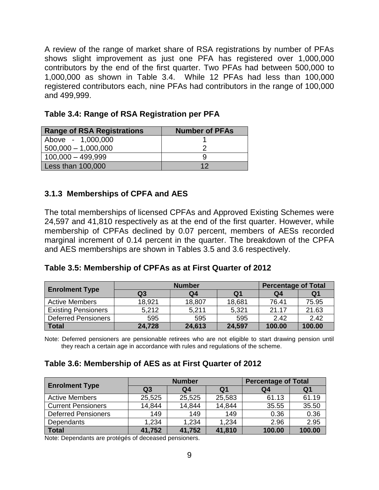A review of the range of market share of RSA registrations by number of PFAs shows slight improvement as just one PFA has registered over 1,000,000 contributors by the end of the first quarter. Two PFAs had between 500,000 to 1,000,000 as shown in Table 3.4. While 12 PFAs had less than 100,000 registered contributors each, nine PFAs had contributors in the range of 100,000 and 499,999.

| <b>Range of RSA Registrations</b> | <b>Number of PFAs</b> |
|-----------------------------------|-----------------------|
| Above - 1,000,000                 |                       |
| $500,000 - 1,000,000$             |                       |
| $100,000 - 499,999$               |                       |
| Less than 100,000                 | 12                    |

<span id="page-11-1"></span>

|  |  |  | Table 3.4: Range of RSA Registration per PFA |  |
|--|--|--|----------------------------------------------|--|
|--|--|--|----------------------------------------------|--|

#### <span id="page-11-0"></span>**3.1.3 Memberships of CPFA and AES**

The total memberships of licensed CPFAs and Approved Existing Schemes were 24,597 and 41,810 respectively as at the end of the first quarter. However, while membership of CPFAs declined by 0.07 percent, members of AESs recorded marginal increment of 0.14 percent in the quarter. The breakdown of the CPFA and AES memberships are shown in Tables 3.5 and 3.6 respectively.

<span id="page-11-2"></span>

| <b>Enrolment Type</b>      |                | <b>Percentage of Total</b> |                |        |        |
|----------------------------|----------------|----------------------------|----------------|--------|--------|
|                            | Q <sub>3</sub> | Q <sub>4</sub>             | Q <sub>1</sub> | Q4     | Q1     |
| <b>Active Members</b>      | 18,921         | 18,807                     | 18,681         | 76.41  | 75.95  |
| <b>Existing Pensioners</b> | 5,212          | 5,211                      | 5,321          | 21.17  | 21.63  |
| <b>Deferred Pensioners</b> | 595            | 595                        | 595            | 2.42   | 2.42   |
| <b>Total</b>               | 24,728         | 24,613                     | 24,597         | 100.00 | 100.00 |

Note: Deferred pensioners are pensionable retirees who are not eligible to start drawing pension until they reach a certain age in accordance with rules and regulations of the scheme.

#### <span id="page-11-3"></span>**Table 3.6: Membership of AES as at First Quarter of 2012**

| <b>Enrolment Type</b>      |                | <b>Number</b> | <b>Percentage of Total</b> |        |        |
|----------------------------|----------------|---------------|----------------------------|--------|--------|
|                            | Q <sub>3</sub> | Q4            | Q1                         | Q4     | Q1     |
| <b>Active Members</b>      | 25,525         | 25,525        | 25,583                     | 61.13  | 61.19  |
| <b>Current Pensioners</b>  | 14,844         | 14,844        | 14,844                     | 35.55  | 35.50  |
| <b>Deferred Pensioners</b> | 149            | 149           | 149                        | 0.36   | 0.36   |
| Dependants                 | 1,234          | 1,234         | 1,234                      | 2.96   | 2.95   |
| <b>Total</b>               | 41,752         | 41,752        | 41,810                     | 100.00 | 100.00 |

Note: Dependants are protégés of deceased pensioners.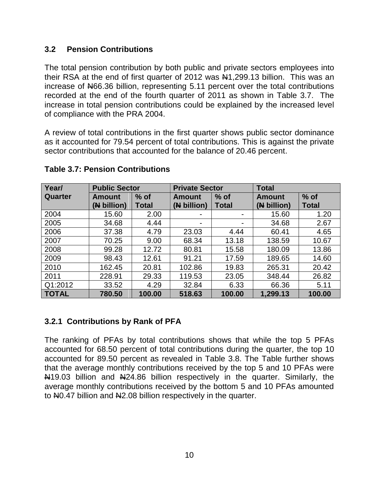#### <span id="page-12-0"></span>**3.2 Pension Contributions**

The total pension contribution by both public and private sectors employees into their RSA at the end of first quarter of 2012 was  $\frac{1}{2}$ , 299.13 billion. This was an increase of N66.36 billion, representing 5.11 percent over the total contributions recorded at the end of the fourth quarter of 2011 as shown in Table 3.7. The increase in total pension contributions could be explained by the increased level of compliance with the PRA 2004.

A review of total contributions in the first quarter shows public sector dominance as it accounted for 79.54 percent of total contributions. This is against the private sector contributions that accounted for the balance of 20.46 percent.

| Year/        | <b>Public Sector</b> |        | <b>Private Sector</b>   |              | <b>Total</b>  |              |
|--------------|----------------------|--------|-------------------------|--------------|---------------|--------------|
| Quarter      | <b>Amount</b>        | $%$ of | $%$ of<br><b>Amount</b> |              | <b>Amount</b> | $%$ of       |
|              | (N billion)          | Total  | (N billion)             | <b>Total</b> | (N billion)   | <b>Total</b> |
| 2004         | 15.60                | 2.00   |                         |              | 15.60         | 1.20         |
| 2005         | 34.68                | 4.44   |                         |              | 34.68         | 2.67         |
| 2006         | 37.38                | 4.79   | 23.03                   | 4.44         | 60.41         | 4.65         |
| 2007         | 70.25                | 9.00   | 68.34                   | 13.18        | 138.59        | 10.67        |
| 2008         | 99.28                | 12.72  | 80.81                   | 15.58        | 180.09        | 13.86        |
| 2009         | 98.43                | 12.61  | 91.21                   | 17.59        | 189.65        | 14.60        |
| 2010         | 162.45               | 20.81  | 102.86                  | 19.83        | 265.31        | 20.42        |
| 2011         | 228.91               | 29.33  | 119.53                  | 23.05        | 348.44        | 26.82        |
| Q1:2012      | 33.52                | 4.29   | 32.84                   | 6.33         | 66.36         | 5.11         |
| <b>TOTAL</b> | 780.50               | 100.00 | 518.63                  | 100.00       | 1,299.13      | 100.00       |

## <span id="page-12-2"></span>**Table 3.7: Pension Contributions**

# <span id="page-12-1"></span>**3.2.1 Contributions by Rank of PFA**

The ranking of PFAs by total contributions shows that while the top 5 PFAs accounted for 68.50 percent of total contributions during the quarter, the top 10 accounted for 89.50 percent as revealed in Table 3.8. The Table further shows that the average monthly contributions received by the top 5 and 10 PFAs were N<sub>19</sub>.03 billion and N<sub>24.86</sub> billion respectively in the quarter. Similarly, the average monthly contributions received by the bottom 5 and 10 PFAs amounted to N<sub>0.47</sub> billion and N<sub>2.08</sub> billion respectively in the quarter.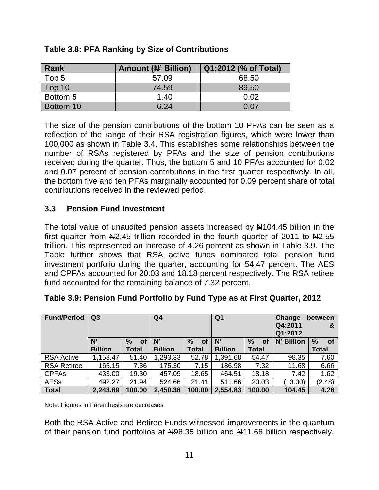| Rank      | <b>Amount (N' Billion)</b> | Q1:2012 (% of Total) |
|-----------|----------------------------|----------------------|
| Top 5     | 57.09                      | 68.50                |
| Top 10    | 74.59                      | 89.50                |
| Bottom 5  | 1.40                       | 0.02                 |
| Bottom 10 | 6.24                       | <u>በ በ7</u>          |

#### <span id="page-13-1"></span>**Table 3.8: PFA Ranking by Size of Contributions**

The size of the pension contributions of the bottom 10 PFAs can be seen as a reflection of the range of their RSA registration figures, which were lower than 100,000 as shown in Table 3.4. This establishes some relationships between the number of RSAs registered by PFAs and the size of pension contributions received during the quarter. Thus, the bottom 5 and 10 PFAs accounted for 0.02 and 0.07 percent of pension contributions in the first quarter respectively. In all, the bottom five and ten PFAs marginally accounted for 0.09 percent share of total contributions received in the reviewed period.

## <span id="page-13-0"></span>**3.3 Pension Fund Investment**

The total value of unaudited pension assets increased by N104.45 billion in the first quarter from  $\frac{12.45}{100}$  trillion recorded in the fourth quarter of 2011 to  $\frac{12.55}{100}$ trillion. This represented an increase of 4.26 percent as shown in Table 3.9. The Table further shows that RSA active funds dominated total pension fund investment portfolio during the quarter, accounting for 54.47 percent. The AES and CPFAs accounted for 20.03 and 18.18 percent respectively. The RSA retiree fund accounted for the remaining balance of 7.32 percent.

| <b>Fund/Period</b> | Q3             |                     | Q <sub>4</sub> |              |                |                   | Change<br>between<br>Q4:2011<br>&<br>Q1:2012 |                   |  |
|--------------------|----------------|---------------------|----------------|--------------|----------------|-------------------|----------------------------------------------|-------------------|--|
|                    | N'             | $\frac{9}{6}$<br>οf | N'             | $\%$<br>οf   | N              | $\%$<br><b>of</b> | N' Billion                                   | $\%$<br><b>of</b> |  |
|                    | <b>Billion</b> | <b>Total</b>        | <b>Billion</b> | <b>Total</b> | <b>Billion</b> | Total             |                                              | <b>Total</b>      |  |
| <b>RSA Active</b>  | 1,153.47       | 51.40               | 1,293.33       | 52.78        | ,391.68        | 54.47             | 98.35                                        | 7.60              |  |
| <b>RSA Retiree</b> | 165.15         | 7.36                | 175.30         | 7.15         | 186.98         | 7.32              | 11.68                                        | 6.66              |  |
| <b>CPFAs</b>       | 433.00         | 19.30               | 457.09         | 18.65        | 464.51         | 18.18             | 7.42                                         | 1.62              |  |
| <b>AESs</b>        | 492.27         | 21.94               | 524.66         | 21.41        | 511.66         | 20.03             | (13.00)                                      | (2.48)            |  |
| <b>Total</b>       | 2,243.89       | 100.00              | 2,450.38       | 100.00       | 2,554.83       | 100.00            | 104.45                                       | 4.26              |  |

<span id="page-13-2"></span>

|  |  | Table 3.9: Pension Fund Portfolio by Fund Type as at First Quarter, 2012 |  |
|--|--|--------------------------------------------------------------------------|--|
|  |  |                                                                          |  |
|  |  |                                                                          |  |

Note: Figures in Parenthesis are decreases

Both the RSA Active and Retiree Funds witnessed improvements in the quantum of their pension fund portfolios at N98.35 billion and N11.68 billion respectively.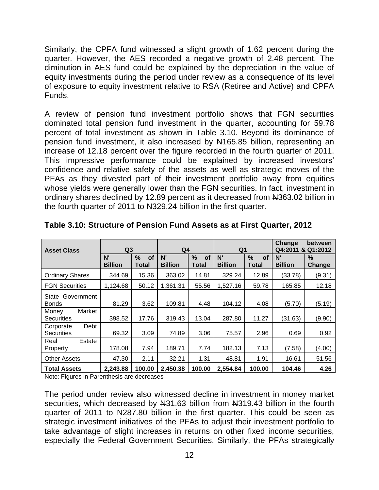Similarly, the CPFA fund witnessed a slight growth of 1.62 percent during the quarter. However, the AES recorded a negative growth of 2.48 percent. The diminution in AES fund could be explained by the depreciation in the value of equity investments during the period under review as a consequence of its level of exposure to equity investment relative to RSA (Retiree and Active) and CPFA Funds.

A review of pension fund investment portfolio shows that FGN securities dominated total pension fund investment in the quarter, accounting for 59.78 percent of total investment as shown in Table 3.10. Beyond its dominance of pension fund investment, it also increased by  $\mu$ 165.85 billion, representing an increase of 12.18 percent over the figure recorded in the fourth quarter of 2011. This impressive performance could be explained by increased investors' confidence and relative safety of the assets as well as strategic moves of the PFAs as they divested part of their investment portfolio away from equities whose yields were generally lower than the FGN securities. In fact, investment in ordinary shares declined by 12.89 percent as it decreased from N363.02 billion in the fourth quarter of 2011 to N329.24 billion in the first quarter.

|                                        |                      |            |                | Q1                |                |                            | Change<br>between<br>Q4:2011 & Q1:2012 |        |
|----------------------------------------|----------------------|------------|----------------|-------------------|----------------|----------------------------|----------------------------------------|--------|
| <b>Asset Class</b>                     | Q <sub>3</sub><br>N' | $\%$<br>of | Q4<br>N'       | $\%$<br><b>of</b> | N'             | $\frac{0}{0}$<br><b>of</b> | N'                                     | $\%$   |
|                                        | <b>Billion</b>       | Total      | <b>Billion</b> | Total             | <b>Billion</b> | Total                      | <b>Billion</b>                         | Change |
| <b>Ordinary Shares</b>                 | 344.69               | 15.36      | 363.02         | 14.81             | 329.24         | 12.89                      | (33.78)                                | (9.31) |
| <b>FGN Securities</b>                  | 1,124.68             | 50.12      | 1,361.31       | 55.56             | 1,527.16       | 59.78                      | 165.85                                 | 12.18  |
| State Government<br><b>Bonds</b>       | 81.29                | 3.62       | 109.81         | 4.48              | 104.12         | 4.08                       | (5.70)                                 | (5.19) |
| Market<br>Money<br><b>Securities</b>   | 398.52               | 17.76      | 319.43         | 13.04             | 287.80         | 11.27                      | (31.63)                                | (9.90) |
| Debt<br>Corporate<br><b>Securities</b> | 69.32                | 3.09       | 74.89          | 3.06              | 75.57          | 2.96                       | 0.69                                   | 0.92   |
| Estate<br>Real<br>Property             | 178.08               | 7.94       | 189.71         | 7.74              | 182.13         | 7.13                       | (7.58)                                 | (4.00) |
| <b>Other Assets</b>                    | 47.30                | 2.11       | 32.21          | 1.31              | 48.81          | 1.91                       | 16.61                                  | 51.56  |
| <b>Total Assets</b>                    | 2,243.88             | 100.00     | 2,450.38       | 100.00            | 2,554.84       | 100.00                     | 104.46                                 | 4.26   |

<span id="page-14-0"></span>**Table 3.10: Structure of Pension Fund Assets as at First Quarter, 2012**

Note: Figures in Parenthesis are decreases

The period under review also witnessed decline in investment in money market securities, which decreased by N31.63 billion from N319.43 billion in the fourth quarter of 2011 to New 287.80 billion in the first quarter. This could be seen as strategic investment initiatives of the PFAs to adjust their investment portfolio to take advantage of slight increases in returns on other fixed income securities, especially the Federal Government Securities. Similarly, the PFAs strategically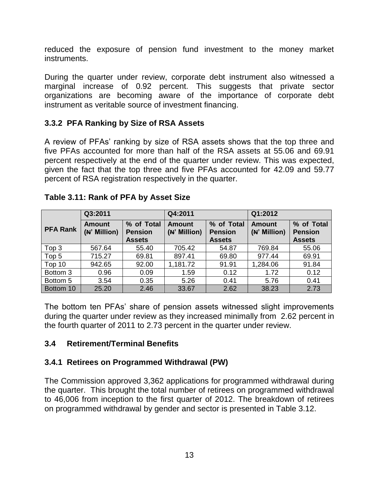reduced the exposure of pension fund investment to the money market instruments.

During the quarter under review, corporate debt instrument also witnessed a marginal increase of 0.92 percent. This suggests that private sector organizations are becoming aware of the importance of corporate debt instrument as veritable source of investment financing.

## <span id="page-15-0"></span>**3.3.2 PFA Ranking by Size of RSA Assets**

A review of PFAs' ranking by size of RSA assets shows that the top three and five PFAs accounted for more than half of the RSA assets at 55.06 and 69.91 percent respectively at the end of the quarter under review. This was expected, given the fact that the top three and five PFAs accounted for 42.09 and 59.77 percent of RSA registration respectively in the quarter.

|                 | Q3:2011                       |                              | Q4:2011                       |                              | Q1:2012                       |                              |  |
|-----------------|-------------------------------|------------------------------|-------------------------------|------------------------------|-------------------------------|------------------------------|--|
| <b>PFA Rank</b> | <b>Amount</b><br>(N' Million) | % of Total<br><b>Pension</b> | <b>Amount</b><br>(N' Million) | % of Total<br><b>Pension</b> | <b>Amount</b><br>(N' Million) | % of Total<br><b>Pension</b> |  |
|                 |                               | <b>Assets</b>                |                               | <b>Assets</b>                |                               | <b>Assets</b>                |  |
| Top 3           | 567.64                        | 55.40                        | 705.42                        | 54.87                        | 769.84                        | 55.06                        |  |
| Top 5           | 715.27                        | 69.81                        | 897.41                        | 69.80                        | 977.44                        | 69.91                        |  |
| Top 10          | 942.65                        | 92.00                        | 1,181.72                      | 91.91                        | 1,284.06                      | 91.84                        |  |
| Bottom 3        | 0.96                          | 0.09                         | 1.59                          | 0.12                         | 1.72                          | 0.12                         |  |
| Bottom 5        | 3.54                          | 0.35                         | 5.26                          | 0.41                         | 5.76                          | 0.41                         |  |
| Bottom 10       | 25.20                         | 2.46                         | 33.67                         | 2.62                         | 38.23                         | 2.73                         |  |

## <span id="page-15-3"></span>**Table 3.11: Rank of PFA by Asset Size**

The bottom ten PFAs' share of pension assets witnessed slight improvements during the quarter under review as they increased minimally from 2.62 percent in the fourth quarter of 2011 to 2.73 percent in the quarter under review.

# <span id="page-15-1"></span>**3.4 Retirement/Terminal Benefits**

# <span id="page-15-2"></span>**3.4.1 Retirees on Programmed Withdrawal (PW)**

The Commission approved 3,362 applications for programmed withdrawal during the quarter. This brought the total number of retirees on programmed withdrawal to 46,006 from inception to the first quarter of 2012. The breakdown of retirees on programmed withdrawal by gender and sector is presented in Table 3.12.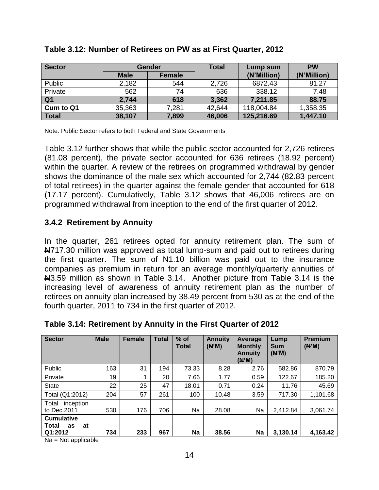| <b>Sector</b>  |             | Gender        | <b>Total</b> | Lump sum    | <b>PW</b>   |
|----------------|-------------|---------------|--------------|-------------|-------------|
|                | <b>Male</b> | <b>Female</b> |              | (N'Million) | (N'Million) |
| Public         | 2,182       | 544           | 2,726        | 6872.43     | 81.27       |
| Private        | 562         | 74            | 636          | 338.12      | 7.48        |
| Q <sub>1</sub> | 2,744       | 618           | 3,362        | 7,211.85    | 88.75       |
| Cum to Q1      | 35,363      | 7,281         | 42,644       | 118,004.84  | 1,358.35    |
| <b>Total</b>   | 38,107      | 7,899         | 46,006       | 125,216.69  | 1,447.10    |

#### <span id="page-16-1"></span>**Table 3.12: Number of Retirees on PW as at First Quarter, 2012**

Note: Public Sector refers to both Federal and State Governments

Table 3.12 further shows that while the public sector accounted for 2,726 retirees (81.08 percent), the private sector accounted for 636 retirees (18.92 percent) within the quarter. A review of the retirees on programmed withdrawal by gender shows the dominance of the male sex which accounted for 2,744 (82.83 percent of total retirees) in the quarter against the female gender that accounted for 618 (17.17 percent). Cumulatively, Table 3.12 shows that 46,006 retirees are on programmed withdrawal from inception to the end of the first quarter of 2012.

#### <span id="page-16-0"></span>**3.4.2 Retirement by Annuity**

In the quarter, 261 retirees opted for annuity retirement plan. The sum of N717.30 million was approved as total lump-sum and paid out to retirees during the first quarter. The sum of  $\frac{1}{2}$ 1.10 billion was paid out to the insurance companies as premium in return for an average monthly/quarterly annuities of N3.59 million as shown in Table 3.14. Another picture from Table 3.14 is the increasing level of awareness of annuity retirement plan as the number of retirees on annuity plan increased by 38.49 percent from 530 as at the end of the fourth quarter, 2011 to 734 in the first quarter of 2012.

| <b>Sector</b>                                            | <b>Male</b> | <b>Female</b> | <b>Total</b> | $%$ of<br>Total | <b>Annuity</b><br>(N'M) | Average<br><b>Monthly</b><br><b>Annuity</b><br>(N'M) | Lump<br><b>Sum</b><br>(N'M) | <b>Premium</b><br>(N'M) |
|----------------------------------------------------------|-------------|---------------|--------------|-----------------|-------------------------|------------------------------------------------------|-----------------------------|-------------------------|
| Public                                                   | 163         | 31            | 194          | 73.33           | 8.28                    | 2.76                                                 | 582.86                      | 870.79                  |
| Private                                                  | 19          | 1             | 20           | 7.66            | 1.77                    | 0.59                                                 | 122.67                      | 185.20                  |
| <b>State</b>                                             | 22          | 25            | 47           | 18.01           | 0.71                    | 0.24                                                 | 11.76                       | 45.69                   |
| Total (Q1:2012)                                          | 204         | 57            | 261          | 100             | 10.48                   | 3.59                                                 | 717.30                      | 1,101.68                |
| Total<br>inception<br>to Dec. 2011                       | 530         | 176           | 706          | Na              | 28.08                   | Na                                                   | 2,412.84                    | 3,061.74                |
| <b>Cumulative</b><br><b>Total</b><br>at<br>as<br>Q1:2012 | 734         | 233           | 967          | Na              | 38.56                   | <b>Na</b>                                            | 3,130.14                    | 4.163.42                |

#### <span id="page-16-2"></span>**Table 3.14: Retirement by Annuity in the First Quarter of 2012**

Na = Not applicable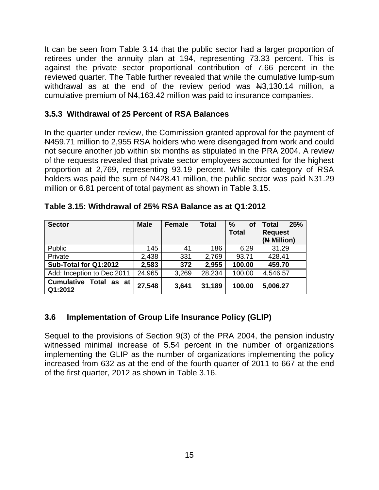It can be seen from Table 3.14 that the public sector had a larger proportion of retirees under the annuity plan at 194, representing 73.33 percent. This is against the private sector proportional contribution of 7.66 percent in the reviewed quarter. The Table further revealed that while the cumulative lump-sum withdrawal as at the end of the review period was  $\text{Al}_3$ , 130.14 million, a cumulative premium of N4,163.42 million was paid to insurance companies.

#### <span id="page-17-0"></span>**3.5.3 Withdrawal of 25 Percent of RSA Balances**

In the quarter under review, the Commission granted approval for the payment of N459.71 million to 2,955 RSA holders who were disengaged from work and could not secure another job within six months as stipulated in the PRA 2004. A review of the requests revealed that private sector employees accounted for the highest proportion at 2,769, representing 93.19 percent. While this category of RSA holders was paid the sum of  $\frac{14428.41}{100}$  million, the public sector was paid  $\frac{1431.29}{100}$ million or 6.81 percent of total payment as shown in Table 3.15.

| <b>Sector</b>                            | <b>Male</b> | <b>Female</b> | <b>Total</b> | $\%$<br>οf   | 25%<br><b>Total</b> |
|------------------------------------------|-------------|---------------|--------------|--------------|---------------------|
|                                          |             |               |              | <b>Total</b> | <b>Request</b>      |
|                                          |             |               |              |              | (N Million)         |
| Public                                   | 145         | 41            | 186          | 6.29         | 31.29               |
| Private                                  | 2,438       | 331           | 2,769        | 93.71        | 428.41              |
| Sub-Total for Q1:2012                    | 2,583       | 372           | 2,955        | 100.00       | 459.70              |
| Add: Inception to Dec 2011               | 24,965      | 3,269         | 28,234       | 100.00       | 4,546.57            |
| <b>Cumulative Total as at</b><br>Q1:2012 | 27,548      | 3,641         | 31,189       | 100.00       | 5,006.27            |

<span id="page-17-2"></span>**Table 3.15: Withdrawal of 25% RSA Balance as at Q1:2012**

# <span id="page-17-1"></span>**3.6 Implementation of Group Life Insurance Policy (GLIP)**

Sequel to the provisions of Section 9(3) of the PRA 2004, the pension industry witnessed minimal increase of 5.54 percent in the number of organizations implementing the GLIP as the number of organizations implementing the policy increased from 632 as at the end of the fourth quarter of 2011 to 667 at the end of the first quarter, 2012 as shown in Table 3.16.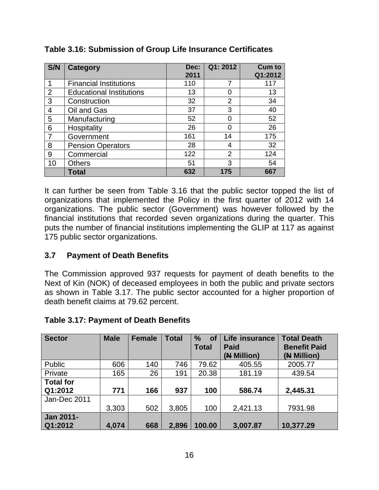| S/N            | <b>Category</b>                 | Dec:<br>2011 | Q1:2012 | <b>Cum to</b><br>Q1:2012 |
|----------------|---------------------------------|--------------|---------|--------------------------|
|                | <b>Financial Institutions</b>   | 110          | 7       | 117                      |
| $\overline{2}$ | <b>Educational Institutions</b> | 13           |         | 13                       |
| 3              | Construction                    | 32           | 2       | 34                       |
| 4              | Oil and Gas                     | 37           | 3       | 40                       |
| 5              | Manufacturing                   | 52           | 0       | 52                       |
| 6              | Hospitality                     | 26           | O       | 26                       |
|                | Government                      | 161          | 14      | 175                      |
| 8              | <b>Pension Operators</b>        | 28           | 4       | 32                       |
| 9              | Commercial                      | 122          | 2       | 124                      |
| 10             | <b>Others</b>                   | 51           | 3       | 54                       |
|                | Total                           | 632          | 175     | 667                      |

## <span id="page-18-1"></span>**Table 3.16: Submission of Group Life Insurance Certificates**

It can further be seen from Table 3.16 that the public sector topped the list of organizations that implemented the Policy in the first quarter of 2012 with 14 organizations. The public sector (Government) was however followed by the financial institutions that recorded seven organizations during the quarter. This puts the number of financial institutions implementing the GLIP at 117 as against 175 public sector organizations.

#### <span id="page-18-0"></span>**3.7 Payment of Death Benefits**

The Commission approved 937 requests for payment of death benefits to the Next of Kin (NOK) of deceased employees in both the public and private sectors as shown in Table 3.17. The public sector accounted for a higher proportion of death benefit claims at 79.62 percent.

| <b>Sector</b>               | <b>Male</b> | <b>Female</b> | <b>Total</b> | $\%$<br><b>of</b><br><b>Total</b> | Life insurance<br><b>Paid</b><br>(N Million) | <b>Total Death</b><br><b>Benefit Paid</b><br>(N Million) |
|-----------------------------|-------------|---------------|--------------|-----------------------------------|----------------------------------------------|----------------------------------------------------------|
| <b>Public</b>               | 606         | 140           | 746          | 79.62                             | 405.55                                       | 2005.77                                                  |
| Private                     | 165         | 26            | 191          | 20.38                             | 181.19                                       | 439.54                                                   |
| <b>Total for</b>            |             |               |              |                                   |                                              |                                                          |
| Q1:2012                     | 771         | 166           | 937          | 100                               | 586.74                                       | 2,445.31                                                 |
| Jan-Dec 2011                |             |               |              |                                   |                                              |                                                          |
|                             | 3,303       | 502           | 3,805        | 100                               | 2,421.13                                     | 7931.98                                                  |
| <b>Jan 2011-</b><br>Q1:2012 | 4,074       | 668           | 2,896        | 100.00                            | 3,007.87                                     | 10,377.29                                                |

#### <span id="page-18-2"></span>**Table 3.17: Payment of Death Benefits**